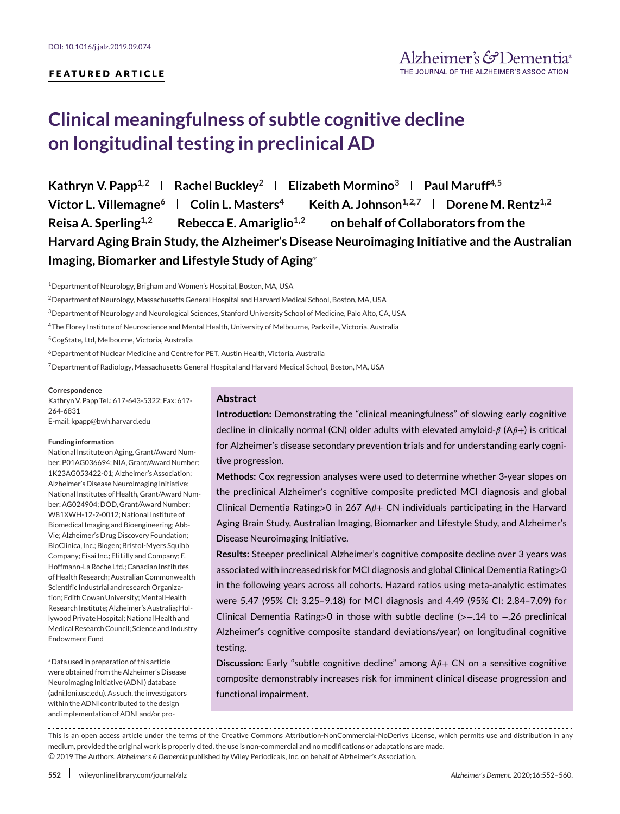## **FEATURED ARTICLE**

# **Clinical meaningfulness of subtle cognitive decline on longitudinal testing in preclinical AD**

**Kathryn V. Papp**<sup>1,2</sup> **Rachel Buckley**<sup>2</sup> **Filizabeth Mormino**<sup>3</sup> **Paul Maruff**<sup>4,5</sup> **Filter Victor L. Villemagne<sup>6</sup> | Colin L. Masters<sup>4</sup> | Keith A. Johnson<sup>1,2,7</sup> | Dorene M. Rentz<sup>1,2</sup> | Reisa A. Sperling**<sup>1,2</sup> **Rebecca E. Amariglio**<sup>1,2</sup> **on behalf of Collaborators from the Harvard Aging Brain Study, the Alzheimer's Disease Neuroimaging Initiative and the Australian Imaging, Biomarker and Lifestyle Study of Aging**<sup>∗</sup>

1Department of Neurology, Brigham and Women's Hospital, Boston, MA, USA

4The Florey Institute of Neuroscience and Mental Health, University of Melbourne, Parkville, Victoria, Australia

5CogState, Ltd, Melbourne, Victoria, Australia

6Department of Nuclear Medicine and Centre for PET, Austin Health, Victoria, Australia

7Department of Radiology, Massachusetts General Hospital and Harvard Medical School, Boston, MA, USA

#### **Correspondence**

Kathryn V. Papp Tel.: 617-643-5322; Fax: 617- 264-6831 E-mail: kpapp@bwh.harvard.edu

#### **Funding information**

National Institute on Aging, Grant/Award Number: P01AG036694; NIA, Grant/Award Number: 1K23AG053422-01; Alzheimer's Association; Alzheimer's Disease Neuroimaging Initiative; National Institutes of Health, Grant/Award Number: AG024904; DOD, Grant/Award Number: W81XWH-12-2-0012; National Institute of Biomedical Imaging and Bioengineering; Abb-Vie; Alzheimer's Drug Discovery Foundation; BioClinica, Inc.; Biogen; Bristol-Myers Squibb Company; Eisai Inc.; Eli Lilly and Company; F. Hoffmann-La Roche Ltd.; Canadian Institutes of Health Research; Australian Commonwealth Scientific Industrial and research Organization; Edith Cowan University;Mental Health Research Institute; Alzheimer's Australia; Hollywood Private Hospital; National Health and Medical Research Council; Science and Industry Endowment Fund

<sup>∗</sup>Data used in preparation of this article were obtained from the Alzheimer's Disease Neuroimaging Initiative (ADNI) database [\(adni.loni.usc.edu\)](http://adni.loni.usc.edu). As such, the investigators within the ADNI contributed to the design and implementation of ADNI and/or pro-

#### **Abstract**

**Introduction:** Demonstrating the "clinical meaningfulness" of slowing early cognitive decline in clinically normal (CN) older adults with elevated amyloid- $\beta$  (A $\beta$ +) is critical for Alzheimer's disease secondary prevention trials and for understanding early cognitive progression.

**Methods:** Cox regression analyses were used to determine whether 3-year slopes on the preclinical Alzheimer's cognitive composite predicted MCI diagnosis and global Clinical Dementia Rating>0 in 267  $A\beta$ + CN individuals participating in the Harvard Aging Brain Study, Australian Imaging, Biomarker and Lifestyle Study, and Alzheimer's Disease Neuroimaging Initiative.

**Results:** Steeper preclinical Alzheimer's cognitive composite decline over 3 years was associated with increased risk for MCI diagnosis and global Clinical Dementia Rating>0 in the following years across all cohorts. Hazard ratios using meta-analytic estimates were 5.47 (95% CI: 3.25–9.18) for MCI diagnosis and 4.49 (95% CI: 2.84–7.09) for Clinical Dementia Rating>0 in those with subtle decline (>−.14 to −.26 preclinical Alzheimer's cognitive composite standard deviations/year) on longitudinal cognitive testing.

**Discussion:** Early "subtle cognitive decline" among  $A\beta$ + CN on a sensitive cognitive composite demonstrably increases risk for imminent clinical disease progression and functional impairment.

----------------------------------This is an open access article under the terms of the [Creative Commons Attribution-NonCommercial-NoDerivs](http://creativecommons.org/licenses/by-nc-nd/4.0/) License, which permits use and distribution in any medium, provided the original work is properly cited, the use is non-commercial and no modifications or adaptations are made. ○c 2019 The Authors. *Alzheimer's & Dementia* published by Wiley Periodicals, Inc. on behalf of Alzheimer's Association.

<sup>2</sup>Department of Neurology, Massachusetts General Hospital and Harvard Medical School, Boston, MA, USA

<sup>3</sup>Department of Neurology and Neurological Sciences, Stanford University School of Medicine, Palo Alto, CA, USA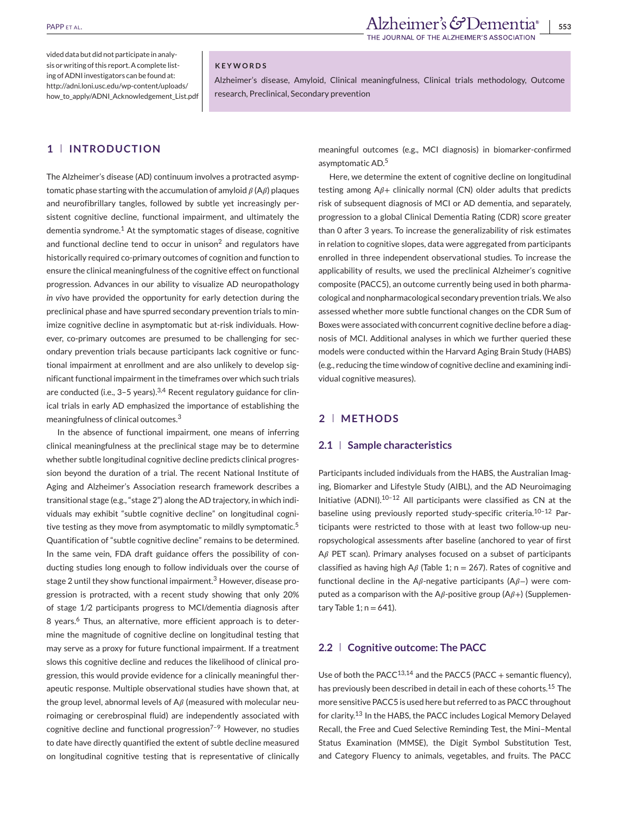INAL OF THE ALZHEIMER'S ASSOCIATION

vided data but did not participate in analysis or writing of this report. A complete listing of ADNI investigators can be found at: [http://adni.loni.usc.edu/wp-content/uploads/](http://adni.loni.usc.edu/wp-content/uploads/how_to_apply/ADNI_Acknowledgement_List.pdf) [how\\_to\\_apply/ADNI\\_Acknowledgement\\_List.pdf](http://adni.loni.usc.edu/wp-content/uploads/how_to_apply/ADNI_Acknowledgement_List.pdf)

#### **KEYWORDS**

Alzheimer's disease, Amyloid, Clinical meaningfulness, Clinical trials methodology, Outcome research, Preclinical, Secondary prevention

#### **1 INTRODUCTION**

The Alzheimer's disease (AD) continuum involves a protracted asymptomatic phase starting with the accumulation of amyloid  $\beta$  (A $\beta$ ) plaques and neurofibrillary tangles, followed by subtle yet increasingly persistent cognitive decline, functional impairment, and ultimately the dementia syndrome.<sup>1</sup> At the symptomatic stages of disease, cognitive and functional decline tend to occur in unison $<sup>2</sup>$  and regulators have</sup> historically required co-primary outcomes of cognition and function to ensure the clinical meaningfulness of the cognitive effect on functional progression. Advances in our ability to visualize AD neuropathology *in vivo* have provided the opportunity for early detection during the preclinical phase and have spurred secondary prevention trials to minimize cognitive decline in asymptomatic but at-risk individuals. However, co-primary outcomes are presumed to be challenging for secondary prevention trials because participants lack cognitive or functional impairment at enrollment and are also unlikely to develop significant functional impairment in the timeframes over which such trials are conducted (i.e.,  $3-5$  years).<sup>3,4</sup> Recent regulatory guidance for clinical trials in early AD emphasized the importance of establishing the meaningfulness of clinical outcomes.<sup>3</sup>

In the absence of functional impairment, one means of inferring clinical meaningfulness at the preclinical stage may be to determine whether subtle longitudinal cognitive decline predicts clinical progression beyond the duration of a trial. The recent National Institute of Aging and Alzheimer's Association research framework describes a transitional stage (e.g., "stage 2") along the AD trajectory, in which individuals may exhibit "subtle cognitive decline" on longitudinal cognitive testing as they move from asymptomatic to mildly symptomatic.<sup>5</sup> Quantification of "subtle cognitive decline" remains to be determined. In the same vein, FDA draft guidance offers the possibility of conducting studies long enough to follow individuals over the course of stage 2 until they show functional impairment.<sup>3</sup> However, disease progression is protracted, with a recent study showing that only 20% of stage 1/2 participants progress to MCI/dementia diagnosis after 8 years.<sup>6</sup> Thus, an alternative, more efficient approach is to determine the magnitude of cognitive decline on longitudinal testing that may serve as a proxy for future functional impairment. If a treatment slows this cognitive decline and reduces the likelihood of clinical progression, this would provide evidence for a clinically meaningful therapeutic response. Multiple observational studies have shown that, at the group level, abnormal levels of  $A\beta$  (measured with molecular neuroimaging or cerebrospinal fluid) are independently associated with cognitive decline and functional progression<sup>7-9</sup> However, no studies to date have directly quantified the extent of subtle decline measured on longitudinal cognitive testing that is representative of clinically meaningful outcomes (e.g., MCI diagnosis) in biomarker-confirmed asymptomatic AD.5

Here, we determine the extent of cognitive decline on longitudinal testing among  $A\beta$ + clinically normal (CN) older adults that predicts risk of subsequent diagnosis of MCI or AD dementia, and separately, progression to a global Clinical Dementia Rating (CDR) score greater than 0 after 3 years. To increase the generalizability of risk estimates in relation to cognitive slopes, data were aggregated from participants enrolled in three independent observational studies. To increase the applicability of results, we used the preclinical Alzheimer's cognitive composite (PACC5), an outcome currently being used in both pharmacological and nonpharmacological secondary prevention trials.We also assessed whether more subtle functional changes on the CDR Sum of Boxes were associated with concurrent cognitive decline before a diagnosis of MCI. Additional analyses in which we further queried these models were conducted within the Harvard Aging Brain Study (HABS) (e.g., reducing the time window of cognitive decline and examining individual cognitive measures).

## **2 METHODS**

#### **2.1 Sample characteristics**

Participants included individuals from the HABS, the Australian Imaging, Biomarker and Lifestyle Study (AIBL), and the AD Neuroimaging Initiative (ADNI).10–12 All participants were classified as CN at the baseline using previously reported study-specific criteria.<sup>10-12</sup> Participants were restricted to those with at least two follow-up neuropsychological assessments after baseline (anchored to year of first  $A\beta$  PET scan). Primary analyses focused on a subset of participants classified as having high A $\beta$  (Table 1; n = 267). Rates of cognitive and functional decline in the A $\beta$ -negative participants (A $\beta$ –) were computed as a comparison with the A $\beta$ -positive group (A $\beta$ +) (Supplementary Table 1;  $n = 641$ ).

#### **2.2 Cognitive outcome: The PACC**

Use of both the PACC<sup>13,14</sup> and the PACC5 (PACC + semantic fluency), has previously been described in detail in each of these cohorts.<sup>15</sup> The more sensitive PACC5 is used here but referred to as PACC throughout for clarity.<sup>13</sup> In the HABS, the PACC includes Logical Memory Delayed Recall, the Free and Cued Selective Reminding Test, the Mini–Mental Status Examination (MMSE), the Digit Symbol Substitution Test, and Category Fluency to animals, vegetables, and fruits. The PACC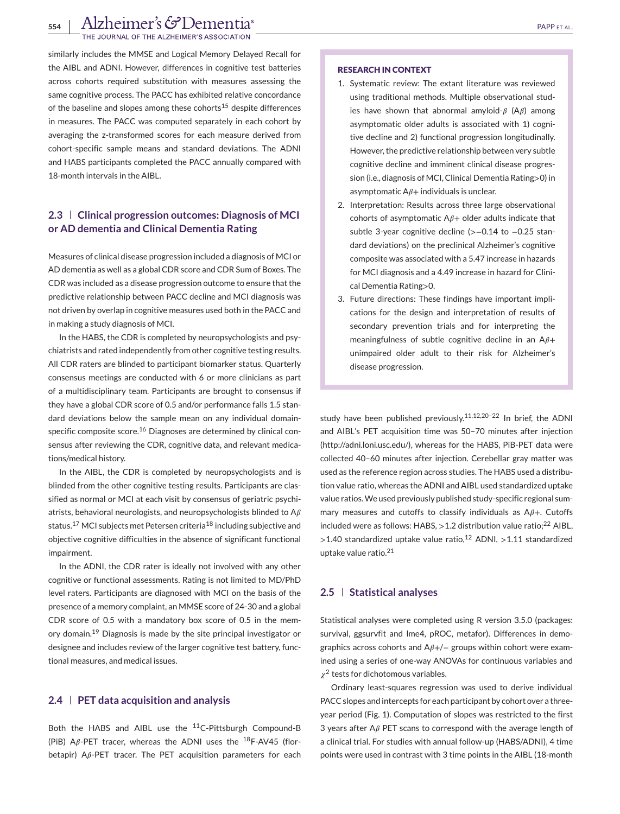554 | Alzheimer's GDementia<sup>®</sup><br>The Journal of the Alzheimer's association

similarly includes the MMSE and Logical Memory Delayed Recall for the AIBL and ADNI. However, differences in cognitive test batteries across cohorts required substitution with measures assessing the same cognitive process. The PACC has exhibited relative concordance of the baseline and slopes among these cohorts<sup>15</sup> despite differences in measures. The PACC was computed separately in each cohort by averaging the z-transformed scores for each measure derived from cohort-specific sample means and standard deviations. The ADNI and HABS participants completed the PACC annually compared with 18-month intervals in the AIBL.

## **2.3 Clinical progression outcomes: Diagnosis of MCI or AD dementia and Clinical Dementia Rating**

Measures of clinical disease progression included a diagnosis of MCI or AD dementia as well as a global CDR score and CDR Sum of Boxes. The CDR was included as a disease progression outcome to ensure that the predictive relationship between PACC decline and MCI diagnosis was not driven by overlap in cognitive measures used both in the PACC and in making a study diagnosis of MCI.

In the HABS, the CDR is completed by neuropsychologists and psychiatrists and rated independently from other cognitive testing results. All CDR raters are blinded to participant biomarker status. Quarterly consensus meetings are conducted with 6 or more clinicians as part of a multidisciplinary team. Participants are brought to consensus if they have a global CDR score of 0.5 and/or performance falls 1.5 standard deviations below the sample mean on any individual domainspecific composite score.<sup>16</sup> Diagnoses are determined by clinical consensus after reviewing the CDR, cognitive data, and relevant medications/medical history.

In the AIBL, the CDR is completed by neuropsychologists and is blinded from the other cognitive testing results. Participants are classified as normal or MCI at each visit by consensus of geriatric psychiatrists, behavioral neurologists, and neuropsychologists blinded to  $A\beta$ status.<sup>17</sup> MCI subjects met Petersen criteria<sup>18</sup> including subjective and objective cognitive difficulties in the absence of significant functional impairment.

In the ADNI, the CDR rater is ideally not involved with any other cognitive or functional assessments. Rating is not limited to MD/PhD level raters. Participants are diagnosed with MCI on the basis of the presence of a memory complaint, an MMSE score of 24-30 and a global CDR score of 0.5 with a mandatory box score of 0.5 in the memory domain.<sup>19</sup> Diagnosis is made by the site principal investigator or designee and includes review of the larger cognitive test battery, functional measures, and medical issues.

### **2.4 PET data acquisition and analysis**

Both the HABS and AIBL use the 11C-Pittsburgh Compound-B (PiB) A $\beta$ -PET tracer, whereas the ADNI uses the <sup>18</sup>F-AV45 (florbetapir)  $A\beta$ -PET tracer. The PET acquisition parameters for each

#### **RESEARCH IN CONTEXT**

- 1. Systematic review: The extant literature was reviewed using traditional methods. Multiple observational studies have shown that abnormal amyloid- $\beta$  (A $\beta$ ) among asymptomatic older adults is associated with 1) cognitive decline and 2) functional progression longitudinally. However, the predictive relationship between very subtle cognitive decline and imminent clinical disease progression (i.e., diagnosis of MCI, Clinical Dementia Rating>0) in asymptomatic  $A\beta$ + individuals is unclear.
- 2. Interpretation: Results across three large observational cohorts of asymptomatic  $A\beta$ + older adults indicate that subtle 3-year cognitive decline (>−0.14 to −0.25 standard deviations) on the preclinical Alzheimer's cognitive composite was associated with a 5.47 increase in hazards for MCI diagnosis and a 4.49 increase in hazard for Clinical Dementia Rating>0.
- 3. Future directions: These findings have important implications for the design and interpretation of results of secondary prevention trials and for interpreting the meaningfulness of subtle cognitive decline in an  $A\beta+$ unimpaired older adult to their risk for Alzheimer's disease progression.

study have been published previously.<sup>11,12,20-22</sup> In brief, the ADNI and AIBL's PET acquisition time was 50–70 minutes after injection [\(http://adni.loni.usc.edu/\)](http://adni.loni.usc.edu/), whereas for the HABS, PiB-PET data were collected 40–60 minutes after injection. Cerebellar gray matter was used as the reference region across studies. The HABS used a distribution value ratio, whereas the ADNI and AIBL used standardized uptake value ratios.We used previously published study-specific regional summary measures and cutoffs to classify individuals as  $A\beta +$ . Cutoffs included were as follows: HABS,  $>1.2$  distribution value ratio;<sup>22</sup> AIBL,  $>$ 1.40 standardized uptake value ratio,<sup>12</sup> ADNI,  $>$ 1.11 standardized uptake value ratio.<sup>21</sup>

#### **2.5 Statistical analyses**

Statistical analyses were completed using R version 3.5.0 (packages: survival, ggsurvfit and lme4, pROC, metafor). Differences in demographics across cohorts and  $A\beta+/-$  groups within cohort were examined using a series of one-way ANOVAs for continuous variables and  $\chi^2$  tests for dichotomous variables.

Ordinary least-squares regression was used to derive individual PACC slopes and intercepts for each participant by cohort over a threeyear period (Fig. 1). Computation of slopes was restricted to the first 3 years after  $A\beta$  PET scans to correspond with the average length of a clinical trial. For studies with annual follow-up (HABS/ADNI), 4 time points were used in contrast with 3 time points in the AIBL (18-month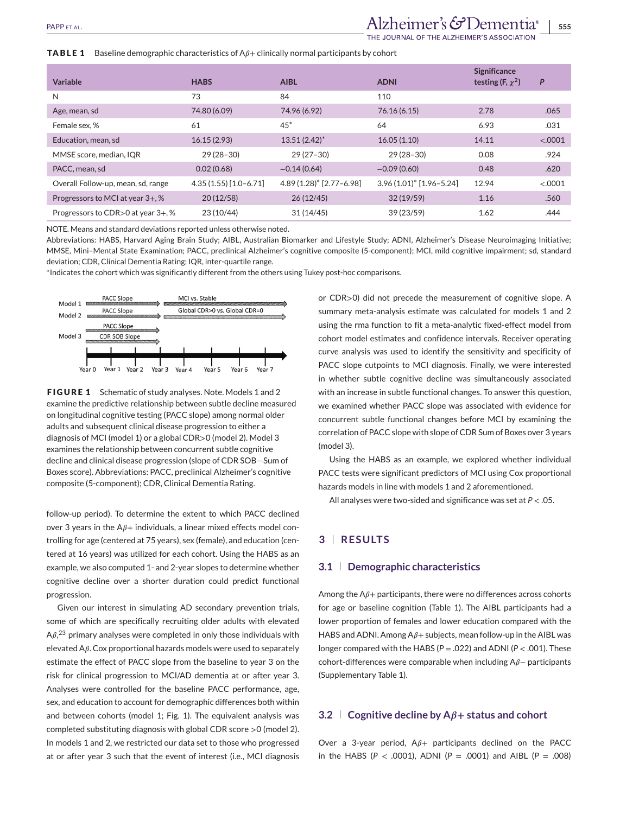IAL OF THE ALZHEIMER'S ASSOCIATIO

#### **TABLE 1** Baseline demographic characteristics of  $A\beta$ + clinically normal participants by cohort

| Variable                           | <b>HABS</b>            | <b>AIBL</b>              | <b>ADNI</b>                           | <b>Significance</b><br>testing (F, $\chi^2$ ) | P       |
|------------------------------------|------------------------|--------------------------|---------------------------------------|-----------------------------------------------|---------|
| N                                  | 73                     | 84                       | 110                                   |                                               |         |
| Age, mean, sd                      | 74.80 (6.09)           | 74.96 (6.92)             | 76.16 (6.15)                          | 2.78                                          | .065    |
| Female sex, %                      | 61                     | $45*$                    | 64                                    | 6.93                                          | .031    |
| Education, mean, sd                | 16.15(2.93)            | $13.51(2.42)^{*}$        | 16.05(1.10)                           | 14.11                                         | < .0001 |
| MMSE score, median, IQR            | $29(28-30)$            | $29(27-30)$              | $29(28-30)$                           | 0.08                                          | .924    |
| PACC, mean, sd                     | 0.02(0.68)             | $-0.14(0.64)$            | $-0.09(0.60)$                         | 0.48                                          | .620    |
| Overall Follow-up, mean, sd, range | $4.35(1.55)[1.0-6.71]$ | 4.89 (1.28)* [2.77-6.98] | $3.96(1.01)$ <sup>*</sup> [1.96-5.24] | 12.94                                         | < .0001 |
| Progressors to MCI at year 3+, %   | 20(12/58)              | 26(12/45)                | 32(19/59)                             | 1.16                                          | .560    |
| Progressors to CDR>0 at year 3+, % | 23 (10/44)             | 31(14/45)                | 39(23/59)                             | 1.62                                          | .444    |

NOTE. Means and standard deviations reported unless otherwise noted.

Abbreviations: HABS, Harvard Aging Brain Study; AIBL, Australian Biomarker and Lifestyle Study; ADNI, Alzheimer's Disease Neuroimaging Initiative; MMSE, Mini–Mental State Examination; PACC, preclinical Alzheimer's cognitive composite (5-component); MCI, mild cognitive impairment; sd, standard deviation; CDR, Clinical Dementia Rating; IQR, inter-quartile range.

<sup>∗</sup>Indicates the cohort which was significantly different from the others using Tukey post-hoc comparisons.



**FIGURE 1** Schematic of study analyses. Note. Models 1 and 2 examine the predictive relationship between subtle decline measured on longitudinal cognitive testing (PACC slope) among normal older adults and subsequent clinical disease progression to either a diagnosis of MCI (model 1) or a global CDR>0 (model 2). Model 3 examines the relationship between concurrent subtle cognitive decline and clinical disease progression (slope of CDR SOB—Sum of Boxes score). Abbreviations: PACC, preclinical Alzheimer's cognitive composite (5-component); CDR, Clinical Dementia Rating.

follow-up period). To determine the extent to which PACC declined over 3 years in the  $A\beta$ + individuals, a linear mixed effects model controlling for age (centered at 75 years), sex (female), and education (centered at 16 years) was utilized for each cohort. Using the HABS as an example, we also computed 1- and 2-year slopes to determine whether cognitive decline over a shorter duration could predict functional progression.

Given our interest in simulating AD secondary prevention trials, some of which are specifically recruiting older adults with elevated  $A\beta$ ,<sup>23</sup> primary analyses were completed in only those individuals with elevated  $A\beta$ . Cox proportional hazards models were used to separately estimate the effect of PACC slope from the baseline to year 3 on the risk for clinical progression to MCI/AD dementia at or after year 3. Analyses were controlled for the baseline PACC performance, age, sex, and education to account for demographic differences both within and between cohorts (model 1; Fig. 1). The equivalent analysis was completed substituting diagnosis with global CDR score >0 (model 2). In models 1 and 2, we restricted our data set to those who progressed at or after year 3 such that the event of interest (i.e., MCI diagnosis

or CDR>0) did not precede the measurement of cognitive slope. A summary meta-analysis estimate was calculated for models 1 and 2 using the rma function to fit a meta-analytic fixed-effect model from cohort model estimates and confidence intervals. Receiver operating curve analysis was used to identify the sensitivity and specificity of PACC slope cutpoints to MCI diagnosis. Finally, we were interested in whether subtle cognitive decline was simultaneously associated with an increase in subtle functional changes. To answer this question, we examined whether PACC slope was associated with evidence for concurrent subtle functional changes before MCI by examining the correlation of PACC slope with slope of CDR Sum of Boxes over 3 years (model 3).

Using the HABS as an example, we explored whether individual PACC tests were significant predictors of MCI using Cox proportional hazards models in line with models 1 and 2 aforementioned.

All analyses were two-sided and significance was set at *P* < .05.

#### **3 RESULTS**

#### **3.1 Demographic characteristics**

Among the  $A\beta$ + participants, there were no differences across cohorts for age or baseline cognition (Table 1). The AIBL participants had a lower proportion of females and lower education compared with the HABS and ADNI. Among  $A\beta$ + subjects, mean follow-up in the AIBL was longer compared with the HABS (*P* = .022) and ADNI (*P* < .001). These cohort-differences were comparable when including Aβ– participants (Supplementary Table 1).

#### **3.2**  $\vert$  Cognitive decline by  $A\beta$ + status and cohort

Over a 3-year period,  $A\beta$ + participants declined on the PACC in the HABS ( $P < .0001$ ), ADNI ( $P = .0001$ ) and AIBL ( $P = .008$ )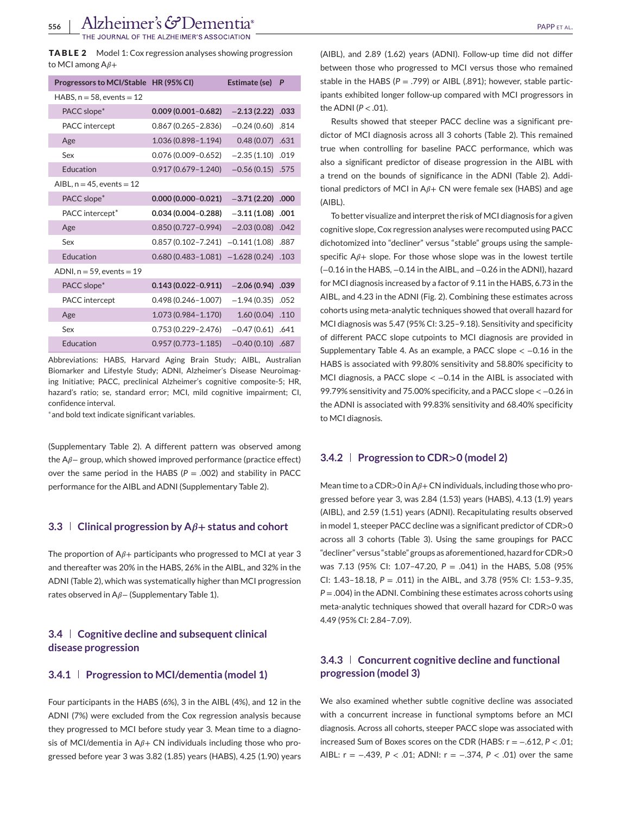**NOF THE ALZHEIMER'S ASSOCIATION** 

**TABLE 2** Model 1: Cox regression analyses showing progression to MCI among  $A\beta +$ 

| Progressors to MCI/Stable HR (95% CI) |                        | Estimate (se)      | P    |
|---------------------------------------|------------------------|--------------------|------|
| HABS, $n = 58$ , events $= 12$        |                        |                    |      |
| PACC slope*                           | $0.009(0.001 - 0.682)$ | $-2.13(2.22)$      | .033 |
| PACC intercept                        | $0.867(0.265 - 2.836)$ | $-0.24(0.60)$      | .814 |
| Age                                   | 1.036 (0.898-1.194)    | 0.48(0.07)         | .631 |
| Sex                                   | $0.076(0.009 - 0.652)$ | $-2.35(1.10)$      | .019 |
| Education                             | $0.917(0.679 - 1.240)$ | $-0.56(0.15)$ .575 |      |
| AIBL, $n = 45$ , events = 12          |                        |                    |      |
| PACC slope*                           | $0.000(0.000 - 0.021)$ | $-3.71(2.20)$      | .000 |
| PACC intercept <sup>*</sup>           | $0.034(0.004 - 0.288)$ | $-3.11(1.08)$      | .001 |
| Age                                   | $0.850(0.727 - 0.994)$ | $-2.03(0.08)$      | .042 |
| Sex                                   | $0.857(0.102 - 7.241)$ | $-0.141(1.08)$     | .887 |
| Education                             | $0.680(0.483 - 1.081)$ | $-1.628(0.24)$     | .103 |
| ADNI, $n = 59$ , events $= 19$        |                        |                    |      |
| PACC slope*                           | $0.143(0.022 - 0.911)$ | $-2.06(0.94)$      | .039 |
| PACC intercept                        | $0.498(0.246 - 1.007)$ | $-1.94(0.35)$      | .052 |
| Age                                   | $1.073(0.984 - 1.170)$ | 1.60(0.04)         | .110 |
| Sex                                   | $0.753(0.229 - 2.476)$ | $-0.47(0.61)$      | .641 |
| Education                             | $0.957(0.773 - 1.185)$ | $-0.40(0.10)$      | .687 |

Abbreviations: HABS, Harvard Aging Brain Study; AIBL, Australian Biomarker and Lifestyle Study; ADNI, Alzheimer's Disease Neuroimaging Initiative; PACC, preclinical Alzheimer's cognitive composite-5; HR, hazard's ratio; se, standard error; MCI, mild cognitive impairment; CI, confidence interval.

<sup>∗</sup>and bold text indicate significant variables.

(Supplementary Table 2). A different pattern was observed among the  $A\beta$ – group, which showed improved performance (practice effect) over the same period in the HABS (*P* = .002) and stability in PACC performance for the AIBL and ADNI (Supplementary Table 2).

## **3.3**  $\vert$  **Clinical progression by A** $\beta$ + **status and cohort**

The proportion of  $A\beta$ + participants who progressed to MCI at year 3 and thereafter was 20% in the HABS, 26% in the AIBL, and 32% in the ADNI (Table 2), which was systematically higher than MCI progression rates observed in A<sub>*β*</sub> – (Supplementary Table 1).

## **3.4 Cognitive decline and subsequent clinical disease progression**

#### **3.4.1 Progression to MCI/dementia (model 1)**

Four participants in the HABS (6%), 3 in the AIBL (4%), and 12 in the ADNI (7%) were excluded from the Cox regression analysis because they progressed to MCI before study year 3. Mean time to a diagnosis of MCI/dementia in  $A\beta$ + CN individuals including those who progressed before year 3 was 3.82 (1.85) years (HABS), 4.25 (1.90) years

(AIBL), and 2.89 (1.62) years (ADNI). Follow-up time did not differ between those who progressed to MCI versus those who remained stable in the HABS ( $P = .799$ ) or AIBL (.891); however, stable participants exhibited longer follow-up compared with MCI progressors in the ADNI  $(P < .01)$ .

Results showed that steeper PACC decline was a significant predictor of MCI diagnosis across all 3 cohorts (Table 2). This remained true when controlling for baseline PACC performance, which was also a significant predictor of disease progression in the AIBL with a trend on the bounds of significance in the ADNI (Table 2). Additional predictors of MCI in  $A\beta$ + CN were female sex (HABS) and age (AIBL).

To better visualize and interpret the risk of MCI diagnosis for a given cognitive slope, Cox regression analyses were recomputed using PACC dichotomized into "decliner" versus "stable" groups using the samplespecific  $A\beta$ + slope. For those whose slope was in the lowest tertile (−0.16 in the HABS, −0.14 in the AIBL, and −0.26 in the ADNI), hazard for MCI diagnosis increased by a factor of 9.11 in the HABS, 6.73 in the AIBL, and 4.23 in the ADNI (Fig. 2). Combining these estimates across cohorts using meta-analytic techniques showed that overall hazard for MCI diagnosis was 5.47 (95% CI: 3.25–9.18). Sensitivity and specificity of different PACC slope cutpoints to MCI diagnosis are provided in Supplementary Table 4. As an example, a PACC slope  $<-0.16$  in the HABS is associated with 99.80% sensitivity and 58.80% specificity to MCI diagnosis, a PACC slope  $< -0.14$  in the AIBL is associated with 99.79% sensitivity and 75.00% specificity, and a PACC slope < −0.26 in the ADNI is associated with 99.83% sensitivity and 68.40% specificity to MCI diagnosis.

#### **3.4.2 Progression to CDR>0 (model 2)**

Mean time to a CDR>0 in  $A\beta$ +CN individuals, including those who progressed before year 3, was 2.84 (1.53) years (HABS), 4.13 (1.9) years (AIBL), and 2.59 (1.51) years (ADNI). Recapitulating results observed in model 1, steeper PACC decline was a significant predictor of CDR>0 across all 3 cohorts (Table 3). Using the same groupings for PACC "decliner" versus "stable" groups as aforementioned, hazard for CDR>0 was 7.13 (95% CI: 1.07–47.20, *P* = .041) in the HABS, 5.08 (95% CI: 1.43–18.18, *P* = .011) in the AIBL, and 3.78 (95% CI: 1.53–9.35, *P* = .004) in the ADNI. Combining these estimates across cohorts using meta-analytic techniques showed that overall hazard for CDR>0 was 4.49 (95% CI: 2.84–7.09).

## **3.4.3 Concurrent cognitive decline and functional progression (model 3)**

We also examined whether subtle cognitive decline was associated with a concurrent increase in functional symptoms before an MCI diagnosis. Across all cohorts, steeper PACC slope was associated with increased Sum of Boxes scores on the CDR (HABS: r = −.612, *P* < .01; AIBL: r = −.439, *P* < .01; ADNI: r = −.374, *P* < .01) over the same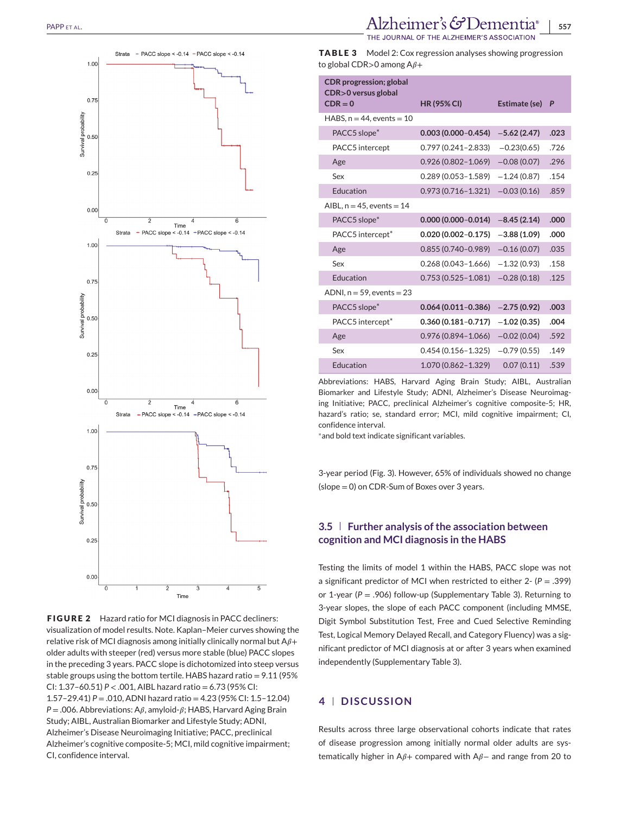

**FIGURE 2** Hazard ratio for MCI diagnosis in PACC decliners: visualization of model results. Note. Kaplan–Meier curves showing the relative risk of MCI diagnosis among initially clinically normal but  $A\beta+$ older adults with steeper (red) versus more stable (blue) PACC slopes in the preceding 3 years. PACC slope is dichotomized into steep versus stable groups using the bottom tertile. HABS hazard ratio =  $9.11$  (95%) CI: 1.37–60.51) *P* < .001, AIBL hazard ratio = 6.73 (95% CI: 1.57–29.41) *P* = .010, ADNI hazard ratio = 4.23 (95% CI: 1.5–12.04)  $P = 0.006$ . Abbreviations: A $\beta$ , amyloid- $\beta$ ; HABS, Harvard Aging Brain Study; AIBL, Australian Biomarker and Lifestyle Study; ADNI, Alzheimer's Disease Neuroimaging Initiative; PACC, preclinical Alzheimer's cognitive composite-5; MCI, mild cognitive impairment; CI, confidence interval.

## PAPP ET AL. **PAPP ET AL. STOPP ET AL. 557**

THE JOURNAL OF THE ALZHEIMER'S ASSOCIATIO

**TABLE 3** Model 2: Cox regression analyses showing progression to global CDR>0 among  $A\beta +$ 

| <b>CDR</b> progression; global<br>CDR>0 versus global |                        |               |      |
|-------------------------------------------------------|------------------------|---------------|------|
| $CDR = 0$                                             | <b>HR (95% CI)</b>     | Estimate (se) | P    |
| HABS, $n = 44$ , events $= 10$                        |                        |               |      |
| PACC5 slope <sup>*</sup>                              | $0.003(0.000 - 0.454)$ | $-5.62(2.47)$ | .023 |
| PACC5 intercept                                       | $0.797(0.241 - 2.833)$ | $-0.23(0.65)$ | .726 |
| Age                                                   | $0.926(0.802 - 1.069)$ | $-0.08(0.07)$ | .296 |
| Sex                                                   | $0.289(0.053 - 1.589)$ | $-1.24(0.87)$ | .154 |
| Education                                             | $0.973(0.716 - 1.321)$ | $-0.03(0.16)$ | .859 |
| AIBL, $n = 45$ , events $= 14$                        |                        |               |      |
| PACC5 slope <sup>*</sup>                              | $0.000(0.000 - 0.014)$ | $-8.45(2.14)$ | .000 |
| PACC5 intercept*                                      | $0.020(0.002 - 0.175)$ | $-3.88(1.09)$ | .000 |
| Age                                                   | $0.855(0.740 - 0.989)$ | $-0.16(0.07)$ | .035 |
| Sex                                                   | $0.268(0.043 - 1.666)$ | $-1.32(0.93)$ | .158 |
| Education                                             | $0.753(0.525 - 1.081)$ | $-0.28(0.18)$ | .125 |
| ADNI, $n = 59$ , events $= 23$                        |                        |               |      |
| PACC5 slope*                                          | $0.064(0.011 - 0.386)$ | $-2.75(0.92)$ | .003 |
| PACC5 intercept*                                      | $0.360(0.181 - 0.717)$ | $-1.02(0.35)$ | .004 |
| Age                                                   | $0.976(0.894 - 1.066)$ | $-0.02(0.04)$ | .592 |
| Sex                                                   | $0.454(0.156 - 1.325)$ | $-0.79(0.55)$ | .149 |
| <b>Education</b>                                      | 1.070 (0.862-1.329)    | 0.07(0.11)    | .539 |

Abbreviations: HABS, Harvard Aging Brain Study; AIBL, Australian Biomarker and Lifestyle Study; ADNI, Alzheimer's Disease Neuroimaging Initiative; PACC, preclinical Alzheimer's cognitive composite-5; HR, hazard's ratio; se, standard error; MCI, mild cognitive impairment; CI, confidence interval.

<sup>∗</sup>and bold text indicate significant variables.

3-year period (Fig. 3). However, 65% of individuals showed no change (slope = 0) on CDR-Sum of Boxes over 3 years.

## **3.5 Further analysis of the association between cognition and MCI diagnosis in the HABS**

Testing the limits of model 1 within the HABS, PACC slope was not a significant predictor of MCI when restricted to either 2- (*P* = .399) or 1-year (*P* = .906) follow-up (Supplementary Table 3). Returning to 3-year slopes, the slope of each PACC component (including MMSE, Digit Symbol Substitution Test, Free and Cued Selective Reminding Test, Logical Memory Delayed Recall, and Category Fluency) was a significant predictor of MCI diagnosis at or after 3 years when examined independently (Supplementary Table 3).

## **4 DISCUSSION**

Results across three large observational cohorts indicate that rates of disease progression among initially normal older adults are systematically higher in A $\beta$ + compared with A $\beta$ – and range from 20 to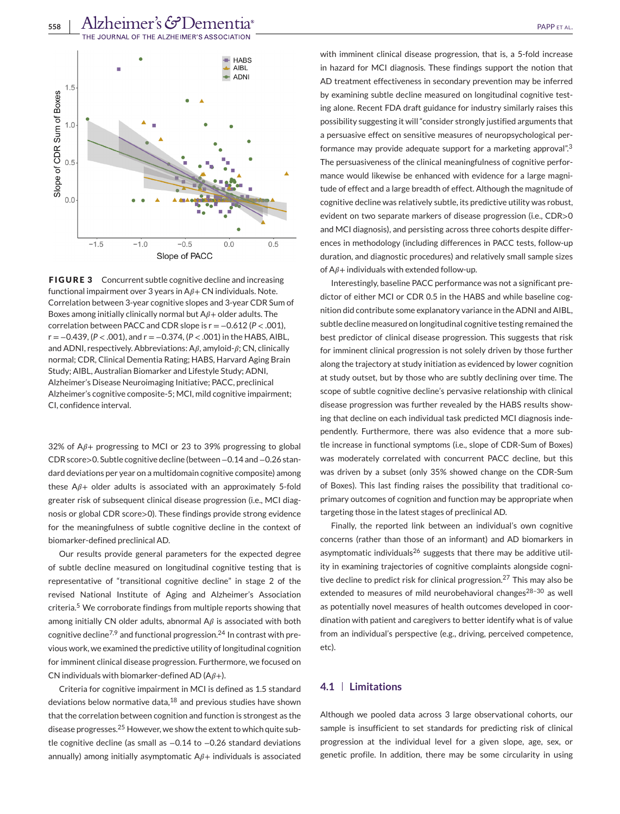

**FIGURE 3** Concurrent subtle cognitive decline and increasing functional impairment over 3 years in  $A\beta$  + CN individuals. Note. Correlation between 3-year cognitive slopes and 3-year CDR Sum of Boxes among initially clinically normal but  $A\beta$  + older adults. The correlation between PACC and CDR slope is r = −0.612 (*P* < .001), r = −0.439, (*P* < .001), and r = −0.374, (*P* < .001) in the HABS, AIBL, and ADNI, respectively. Abbreviations:  $A\beta$ , amyloid- $\beta$ ; CN, clinically normal; CDR, Clinical Dementia Rating; HABS, Harvard Aging Brain Study; AIBL, Australian Biomarker and Lifestyle Study; ADNI, Alzheimer's Disease Neuroimaging Initiative; PACC, preclinical Alzheimer's cognitive composite-5; MCI, mild cognitive impairment; CI, confidence interval.

32% of  $A_{\beta+}$  progressing to MCI or 23 to 39% progressing to global CDR score>0. Subtle cognitive decline (between−0.14 and−0.26 standard deviations per year on a multidomain cognitive composite) among these  $A\beta$ + older adults is associated with an approximately 5-fold greater risk of subsequent clinical disease progression (i.e., MCI diagnosis or global CDR score>0). These findings provide strong evidence for the meaningfulness of subtle cognitive decline in the context of biomarker-defined preclinical AD.

Our results provide general parameters for the expected degree of subtle decline measured on longitudinal cognitive testing that is representative of "transitional cognitive decline" in stage 2 of the revised National Institute of Aging and Alzheimer's Association criteria.<sup>5</sup> We corroborate findings from multiple reports showing that among initially CN older adults, abnormal  $A\beta$  is associated with both cognitive decline<sup>7,9</sup> and functional progression.<sup>24</sup> In contrast with previous work, we examined the predictive utility of longitudinal cognition for imminent clinical disease progression. Furthermore, we focused on CN individuals with biomarker-defined AD ( $A\beta$ +).

Criteria for cognitive impairment in MCI is defined as 1.5 standard deviations below normative data, $^{18}$  and previous studies have shown that the correlation between cognition and function is strongest as the disease progresses.<sup>25</sup> However, we show the extent to which quite subtle cognitive decline (as small as −0.14 to −0.26 standard deviations annually) among initially asymptomatic  $A\beta$ + individuals is associated with imminent clinical disease progression, that is, a 5-fold increase

in hazard for MCI diagnosis. These findings support the notion that AD treatment effectiveness in secondary prevention may be inferred by examining subtle decline measured on longitudinal cognitive testing alone. Recent FDA draft guidance for industry similarly raises this possibility suggesting it will "consider strongly justified arguments that a persuasive effect on sensitive measures of neuropsychological performance may provide adequate support for a marketing approval".<sup>3</sup> The persuasiveness of the clinical meaningfulness of cognitive performance would likewise be enhanced with evidence for a large magnitude of effect and a large breadth of effect. Although the magnitude of cognitive decline was relatively subtle, its predictive utility was robust, evident on two separate markers of disease progression (i.e., CDR>0 and MCI diagnosis), and persisting across three cohorts despite differences in methodology (including differences in PACC tests, follow-up duration, and diagnostic procedures) and relatively small sample sizes of  $A\beta$ + individuals with extended follow-up.

Interestingly, baseline PACC performance was not a significant predictor of either MCI or CDR 0.5 in the HABS and while baseline cognition did contribute some explanatory variance in the ADNI and AIBL, subtle decline measured on longitudinal cognitive testing remained the best predictor of clinical disease progression. This suggests that risk for imminent clinical progression is not solely driven by those further along the trajectory at study initiation as evidenced by lower cognition at study outset, but by those who are subtly declining over time. The scope of subtle cognitive decline's pervasive relationship with clinical disease progression was further revealed by the HABS results showing that decline on each individual task predicted MCI diagnosis independently. Furthermore, there was also evidence that a more subtle increase in functional symptoms (i.e., slope of CDR-Sum of Boxes) was moderately correlated with concurrent PACC decline, but this was driven by a subset (only 35% showed change on the CDR-Sum of Boxes). This last finding raises the possibility that traditional coprimary outcomes of cognition and function may be appropriate when targeting those in the latest stages of preclinical AD.

Finally, the reported link between an individual's own cognitive concerns (rather than those of an informant) and AD biomarkers in asymptomatic individuals<sup>26</sup> suggests that there may be additive utility in examining trajectories of cognitive complaints alongside cognitive decline to predict risk for clinical progression.<sup>27</sup> This may also be extended to measures of mild neurobehavioral changes<sup>28-30</sup> as well as potentially novel measures of health outcomes developed in coordination with patient and caregivers to better identify what is of value from an individual's perspective (e.g., driving, perceived competence, etc).

#### **4.1 Limitations**

Although we pooled data across 3 large observational cohorts, our sample is insufficient to set standards for predicting risk of clinical progression at the individual level for a given slope, age, sex, or genetic profile. In addition, there may be some circularity in using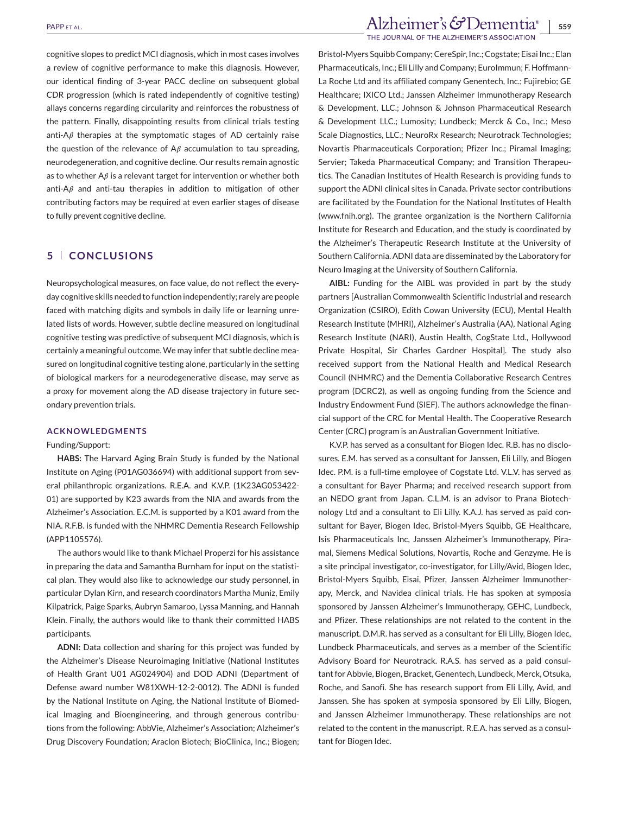cognitive slopes to predict MCI diagnosis, which in most cases involves a review of cognitive performance to make this diagnosis. However, our identical finding of 3-year PACC decline on subsequent global CDR progression (which is rated independently of cognitive testing) allays concerns regarding circularity and reinforces the robustness of the pattern. Finally, disappointing results from clinical trials testing anti-A $\beta$  therapies at the symptomatic stages of AD certainly raise the question of the relevance of  $A\beta$  accumulation to tau spreading, neurodegeneration, and cognitive decline. Our results remain agnostic as to whether  $A\beta$  is a relevant target for intervention or whether both anti-A $\beta$  and anti-tau therapies in addition to mitigation of other contributing factors may be required at even earlier stages of disease to fully prevent cognitive decline.

## **5 CONCLUSIONS**

Neuropsychological measures, on face value, do not reflect the everyday cognitive skills needed to function independently; rarely are people faced with matching digits and symbols in daily life or learning unrelated lists of words. However, subtle decline measured on longitudinal cognitive testing was predictive of subsequent MCI diagnosis, which is certainly a meaningful outcome. We may infer that subtle decline measured on longitudinal cognitive testing alone, particularly in the setting of biological markers for a neurodegenerative disease, may serve as a proxy for movement along the AD disease trajectory in future secondary prevention trials.

#### **ACKNOWLEDGMENTS**

#### Funding/Support:

**HABS:** The Harvard Aging Brain Study is funded by the National Institute on Aging (P01AG036694) with additional support from several philanthropic organizations. R.E.A. and K.V.P. (1K23AG053422- 01) are supported by K23 awards from the NIA and awards from the Alzheimer's Association. E.C.M. is supported by a K01 award from the NIA. R.F.B. is funded with the NHMRC Dementia Research Fellowship (APP1105576).

The authors would like to thank Michael Properzi for his assistance in preparing the data and Samantha Burnham for input on the statistical plan. They would also like to acknowledge our study personnel, in particular Dylan Kirn, and research coordinators Martha Muniz, Emily Kilpatrick, Paige Sparks, Aubryn Samaroo, Lyssa Manning, and Hannah Klein. Finally, the authors would like to thank their committed HABS participants.

**ADNI:** Data collection and sharing for this project was funded by the Alzheimer's Disease Neuroimaging Initiative (National Institutes of Health Grant U01 AG024904) and DOD ADNI (Department of Defense award number W81XWH-12-2-0012). The ADNI is funded by the National Institute on Aging, the National Institute of Biomedical Imaging and Bioengineering, and through generous contributions from the following: AbbVie, Alzheimer's Association; Alzheimer's Drug Discovery Foundation; Araclon Biotech; BioClinica, Inc.; Biogen; Bristol-Myers Squibb Company; CereSpir, Inc.; Cogstate; Eisai Inc.; Elan Pharmaceuticals, Inc.; Eli Lilly and Company; EuroImmun; F. Hoffmann-La Roche Ltd and its affiliated company Genentech, Inc.; Fujirebio; GE Healthcare; IXICO Ltd.; Janssen Alzheimer Immunotherapy Research & Development, LLC.; Johnson & Johnson Pharmaceutical Research & Development LLC.; Lumosity; Lundbeck; Merck & Co., Inc.; Meso Scale Diagnostics, LLC.; NeuroRx Research; Neurotrack Technologies; Novartis Pharmaceuticals Corporation; Pfizer Inc.; Piramal Imaging; Servier; Takeda Pharmaceutical Company; and Transition Therapeutics. The Canadian Institutes of Health Research is providing funds to support the ADNI clinical sites in Canada. Private sector contributions are facilitated by the Foundation for the National Institutes of Health [\(www.fnih.org\)](http://www.fnih.org). The grantee organization is the Northern California Institute for Research and Education, and the study is coordinated by the Alzheimer's Therapeutic Research Institute at the University of Southern California. ADNI data are disseminated by the Laboratory for Neuro Imaging at the University of Southern California.

**AIBL:** Funding for the AIBL was provided in part by the study partners [Australian Commonwealth Scientific Industrial and research Organization (CSIRO), Edith Cowan University (ECU), Mental Health Research Institute (MHRI), Alzheimer's Australia (AA), National Aging Research Institute (NARI), Austin Health, CogState Ltd., Hollywood Private Hospital, Sir Charles Gardner Hospital]. The study also received support from the National Health and Medical Research Council (NHMRC) and the Dementia Collaborative Research Centres program (DCRC2), as well as ongoing funding from the Science and Industry Endowment Fund (SIEF). The authors acknowledge the financial support of the CRC for Mental Health. The Cooperative Research Center (CRC) program is an Australian Government Initiative.

K.V.P. has served as a consultant for Biogen Idec. R.B. has no disclosures. E.M. has served as a consultant for Janssen, Eli Lilly, and Biogen Idec. P.M. is a full-time employee of Cogstate Ltd. V.L.V. has served as a consultant for Bayer Pharma; and received research support from an NEDO grant from Japan. C.L.M. is an advisor to Prana Biotechnology Ltd and a consultant to Eli Lilly. K.A.J. has served as paid consultant for Bayer, Biogen Idec, Bristol-Myers Squibb, GE Healthcare, Isis Pharmaceuticals Inc, Janssen Alzheimer's Immunotherapy, Piramal, Siemens Medical Solutions, Novartis, Roche and Genzyme. He is a site principal investigator, co-investigator, for Lilly/Avid, Biogen Idec, Bristol-Myers Squibb, Eisai, Pfizer, Janssen Alzheimer Immunotherapy, Merck, and Navidea clinical trials. He has spoken at symposia sponsored by Janssen Alzheimer's Immunotherapy, GEHC, Lundbeck, and Pfizer. These relationships are not related to the content in the manuscript. D.M.R. has served as a consultant for Eli Lilly, Biogen Idec, Lundbeck Pharmaceuticals, and serves as a member of the Scientific Advisory Board for Neurotrack. R.A.S. has served as a paid consultant for Abbvie, Biogen, Bracket, Genentech, Lundbeck, Merck, Otsuka, Roche, and Sanofi. She has research support from Eli Lilly, Avid, and Janssen. She has spoken at symposia sponsored by Eli Lilly, Biogen, and Janssen Alzheimer Immunotherapy. These relationships are not related to the content in the manuscript. R.E.A. has served as a consultant for Biogen Idec.